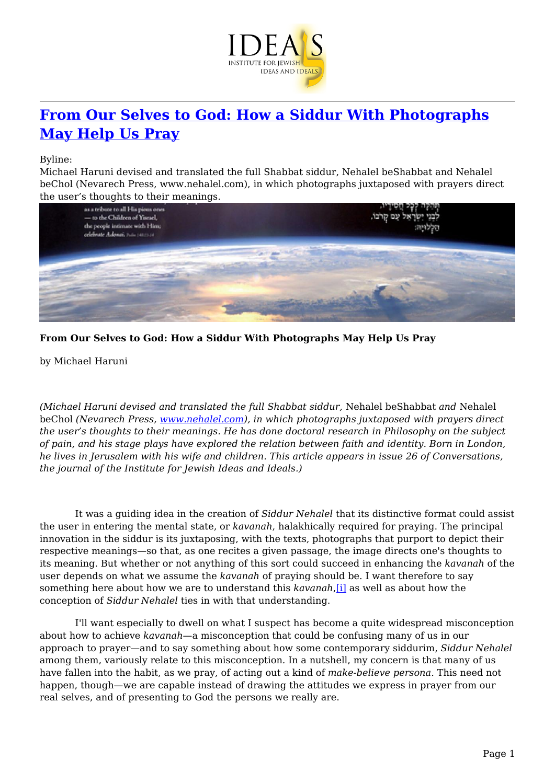

## **[From Our Selves to God: How a Siddur With Photographs](https://www.jewishideas.org/article/our-selves-god-how-siddur-photographs-may-help-us-pray) [May Help Us Pray](https://www.jewishideas.org/article/our-selves-god-how-siddur-photographs-may-help-us-pray)**

Byline:

Michael Haruni devised and translated the full Shabbat siddur, Nehalel beShabbat and Nehalel beChol (Nevarech Press, www.nehalel.com), in which photographs juxtaposed with prayers direct the user's thoughts to their meanings.



**From Our Selves to God: How a Siddur With Photographs May Help Us Pray**

by Michael Haruni

*(Michael Haruni devised and translated the full Shabbat siddur,* Nehalel beShabbat *and* Nehalel beChol *(Nevarech Press, [www.nehalel.com\)](http://www.nehalel.com/), in which photographs juxtaposed with prayers direct the user's thoughts to their meanings. He has done doctoral research in Philosophy on the subject of pain, and his stage plays have explored the relation between faith and identity. Born in London, he lives in Jerusalem with his wife and children. This article appears in issue 26 of Conversations, the journal of the Institute for Jewish Ideas and Ideals.)*

 It was a guiding idea in the creation of *Siddur Nehalel* that its distinctive format could assist the user in entering the mental state, or *kavanah*, halakhically required for praying. The principal innovation in the siddur is its juxtaposing, with the texts, photographs that purport to depict their respective meanings—so that, as one recites a given passage, the image directs one's thoughts to its meaning. But whether or not anything of this sort could succeed in enhancing the *kavanah* of the user depends on what we assume the *kavanah* of praying should be. I want therefore to say something here about how we are to understand this *kavanah*,[\[i\]](#page-8-0) as well as about how the conception of *Siddur Nehalel* ties in with that understanding.

<span id="page-0-0"></span> I'll want especially to dwell on what I suspect has become a quite widespread misconception about how to achieve *kavanah*—a misconception that could be confusing many of us in our approach to prayer—and to say something about how some contemporary siddurim, *Siddur Nehalel* among them, variously relate to this misconception. In a nutshell, my concern is that many of us have fallen into the habit, as we pray, of acting out a kind of *make-believe persona*. This need not happen, though—we are capable instead of drawing the attitudes we express in prayer from our real selves, and of presenting to God the persons we really are.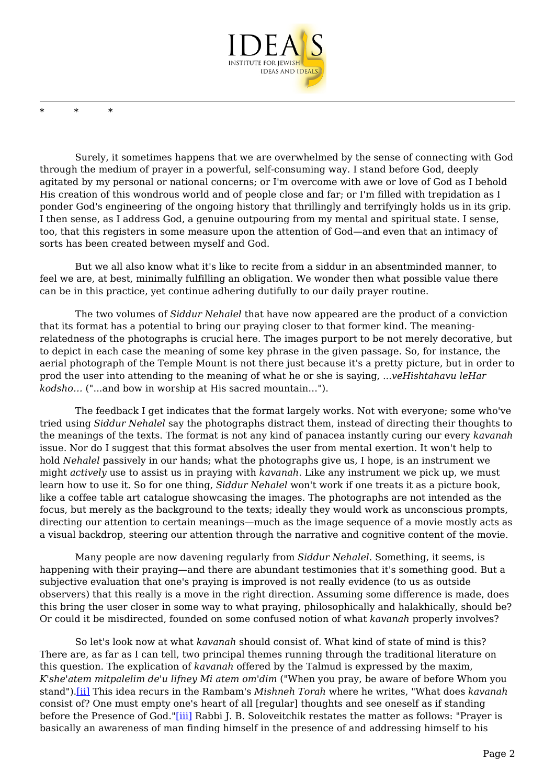

\* \* \*

 Surely, it sometimes happens that we are overwhelmed by the sense of connecting with God through the medium of prayer in a powerful, self-consuming way. I stand before God, deeply agitated by my personal or national concerns; or I'm overcome with awe or love of God as I behold His creation of this wondrous world and of people close and far; or I'm filled with trepidation as I ponder God's engineering of the ongoing history that thrillingly and terrifyingly holds us in its grip. I then sense, as I address God, a genuine outpouring from my mental and spiritual state. I sense, too, that this registers in some measure upon the attention of God—and even that an intimacy of sorts has been created between myself and God.

 But we all also know what it's like to recite from a siddur in an absentminded manner, to feel we are, at best, minimally fulfilling an obligation. We wonder then what possible value there can be in this practice, yet continue adhering dutifully to our daily prayer routine.

 The two volumes of *Siddur Nehalel* that have now appeared are the product of a conviction that its format has a potential to bring our praying closer to that former kind. The meaningrelatedness of the photographs is crucial here. The images purport to be not merely decorative, but to depict in each case the meaning of some key phrase in the given passage. So, for instance, the aerial photograph of the Temple Mount is not there just because it's a pretty picture, but in order to prod the user into attending to the meaning of what he or she is saying, *...veHishtahavu leHar kodsho…* ("...and bow in worship at His sacred mountain…").

 The feedback I get indicates that the format largely works. Not with everyone; some who've tried using *Siddur Nehalel* say the photographs distract them, instead of directing their thoughts to the meanings of the texts. The format is not any kind of panacea instantly curing our every *kavanah* issue. Nor do I suggest that this format absolves the user from mental exertion. It won't help to hold *Nehalel* passively in our hands; what the photographs give us, I hope, is an instrument we might *actively* use to assist us in praying with *kavanah*. Like any instrument we pick up, we must learn how to use it. So for one thing, *Siddur Nehalel* won't work if one treats it as a picture book, like a coffee table art catalogue showcasing the images. The photographs are not intended as the focus, but merely as the background to the texts; ideally they would work as unconscious prompts, directing our attention to certain meanings—much as the image sequence of a movie mostly acts as a visual backdrop, steering our attention through the narrative and cognitive content of the movie.

 Many people are now davening regularly from *Siddur Nehalel*. Something, it seems, is happening with their praying—and there are abundant testimonies that it's something good. But a subjective evaluation that one's praying is improved is not really evidence (to us as outside observers) that this really is a move in the right direction. Assuming some difference is made, does this bring the user closer in some way to what praying, philosophically and halakhically, should be? Or could it be misdirected, founded on some confused notion of what *kavanah* properly involves?

<span id="page-1-2"></span><span id="page-1-1"></span><span id="page-1-0"></span> So let's look now at what *kavanah* should consist of. What kind of state of mind is this? There are, as far as I can tell, two principal themes running through the traditional literature on this question. The explication of *kavanah* offered by the Talmud is expressed by the maxim, *K'she'atem mitpalelim de'u lifney Mi atem om'dim* ("When you pray, be aware of before Whom you stand")[.\[ii\]](#page-8-1) This idea recurs in the Rambam's *Mishneh Torah* where he writes, "What does *kavanah* consist of? One must empty one's heart of all [regular] thoughts and see oneself as if standing before the Presence of God."[\[iii\]](#page-8-2) Rabbi J. B. Soloveitchik restates the matter as follows: "Prayer is basically an awareness of man finding himself in the presence of and addressing himself to his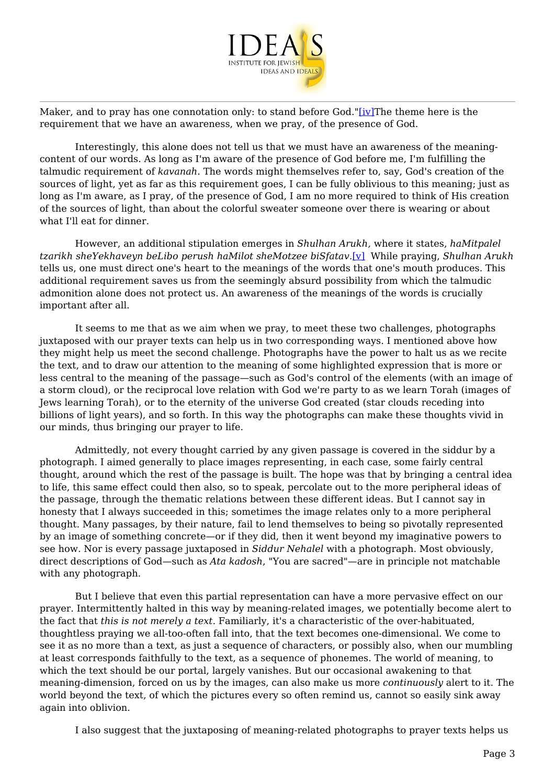

Maker, and to pray has one connotation only: to stand before God."[\[iv\]T](#page-8-3)he theme here is the requirement that we have an awareness, when we pray, of the presence of God.

 Interestingly, this alone does not tell us that we must have an awareness of the meaningcontent of our words. As long as I'm aware of the presence of God before me, I'm fulfilling the talmudic requirement of *kavanah*. The words might themselves refer to, say, God's creation of the sources of light, yet as far as this requirement goes, I can be fully oblivious to this meaning; just as long as I'm aware, as I pray, of the presence of God, I am no more required to think of His creation of the sources of light, than about the colorful sweater someone over there is wearing or about what I'll eat for dinner.

<span id="page-2-0"></span> However, an additional stipulation emerges in *Shulhan Arukh,* where it states, *haMitpalel tzarikh sheYekhaveyn beLibo perush haMilot sheMotzee biSfatav.*[\[v\]](#page-8-4) While praying, *Shulhan Arukh* tells us, one must direct one's heart to the meanings of the words that one's mouth produces. This additional requirement saves us from the seemingly absurd possibility from which the talmudic admonition alone does not protect us. An awareness of the meanings of the words is crucially important after all.

 It seems to me that as we aim when we pray, to meet these two challenges, photographs juxtaposed with our prayer texts can help us in two corresponding ways. I mentioned above how they might help us meet the second challenge. Photographs have the power to halt us as we recite the text, and to draw our attention to the meaning of some highlighted expression that is more or less central to the meaning of the passage—such as God's control of the elements (with an image of a storm cloud), or the reciprocal love relation with God we're party to as we learn Torah (images of Jews learning Torah), or to the eternity of the universe God created (star clouds receding into billions of light years), and so forth. In this way the photographs can make these thoughts vivid in our minds, thus bringing our prayer to life.

 Admittedly, not every thought carried by any given passage is covered in the siddur by a photograph. I aimed generally to place images representing, in each case, some fairly central thought, around which the rest of the passage is built. The hope was that by bringing a central idea to life, this same effect could then also, so to speak, percolate out to the more peripheral ideas of the passage, through the thematic relations between these different ideas. But I cannot say in honesty that I always succeeded in this; sometimes the image relates only to a more peripheral thought. Many passages, by their nature, fail to lend themselves to being so pivotally represented by an image of something concrete—or if they did, then it went beyond my imaginative powers to see how. Nor is every passage juxtaposed in *Siddur Nehalel* with a photograph. Most obviously, direct descriptions of God—such as *Ata kadosh*, "You are sacred"—are in principle not matchable with any photograph.

 But I believe that even this partial representation can have a more pervasive effect on our prayer. Intermittently halted in this way by meaning-related images, we potentially become alert to the fact that *this is not merely a text*. Familiarly, it's a characteristic of the over-habituated, thoughtless praying we all-too-often fall into, that the text becomes one-dimensional. We come to see it as no more than a text, as just a sequence of characters, or possibly also, when our mumbling at least corresponds faithfully to the text, as a sequence of phonemes. The world of meaning, to which the text should be our portal, largely vanishes. But our occasional awakening to that meaning-dimension, forced on us by the images, can also make us more *continuously* alert to it. The world beyond the text, of which the pictures every so often remind us, cannot so easily sink away again into oblivion.

I also suggest that the juxtaposing of meaning-related photographs to prayer texts helps us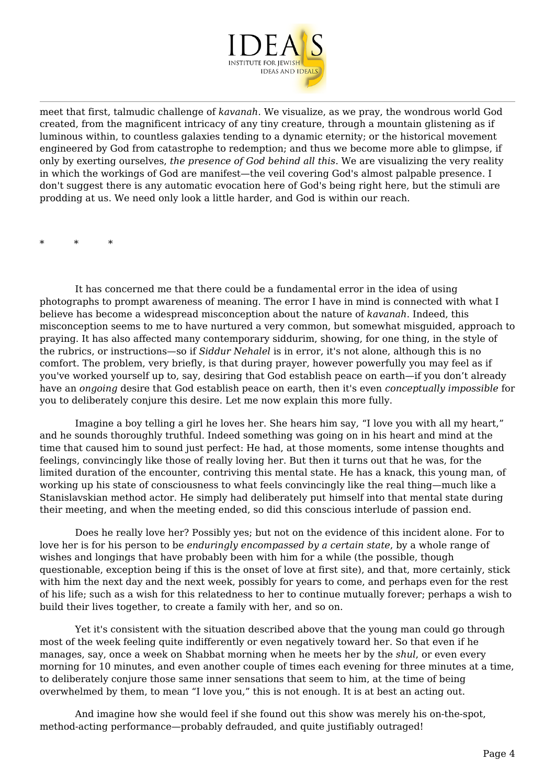

meet that first, talmudic challenge of *kavanah*. We visualize, as we pray, the wondrous world God created, from the magnificent intricacy of any tiny creature, through a mountain glistening as if luminous within, to countless galaxies tending to a dynamic eternity; or the historical movement engineered by God from catastrophe to redemption; and thus we become more able to glimpse, if only by exerting ourselves, *the presence of God behind all this*. We are visualizing the very reality in which the workings of God are manifest—the veil covering God's almost palpable presence. I don't suggest there is any automatic evocation here of God's being right here, but the stimuli are prodding at us. We need only look a little harder, and God is within our reach.

\* \* \*

 It has concerned me that there could be a fundamental error in the idea of using photographs to prompt awareness of meaning. The error I have in mind is connected with what I believe has become a widespread misconception about the nature of *kavanah*. Indeed, this misconception seems to me to have nurtured a very common, but somewhat misguided, approach to praying. It has also affected many contemporary siddurim, showing, for one thing, in the style of the rubrics, or instructions—so if *Siddur Nehalel* is in error, it's not alone, although this is no comfort. The problem, very briefly, is that during prayer, however powerfully you may feel as if you've worked yourself up to, say, desiring that God establish peace on earth—if you don't already have an *ongoing* desire that God establish peace on earth, then it's even *conceptually impossible* for you to deliberately conjure this desire. Let me now explain this more fully.

 Imagine a boy telling a girl he loves her. She hears him say, "I love you with all my heart," and he sounds thoroughly truthful. Indeed something was going on in his heart and mind at the time that caused him to sound just perfect: He had, at those moments, some intense thoughts and feelings, convincingly like those of really loving her. But then it turns out that he was, for the limited duration of the encounter, contriving this mental state. He has a knack, this young man, of working up his state of consciousness to what feels convincingly like the real thing—much like a Stanislavskian method actor. He simply had deliberately put himself into that mental state during their meeting, and when the meeting ended, so did this conscious interlude of passion end.

 Does he really love her? Possibly yes; but not on the evidence of this incident alone. For to love her is for his person to be *enduringly encompassed by a certain state*, by a whole range of wishes and longings that have probably been with him for a while (the possible, though questionable, exception being if this is the onset of love at first site), and that, more certainly, stick with him the next day and the next week, possibly for years to come, and perhaps even for the rest of his life; such as a wish for this relatedness to her to continue mutually forever; perhaps a wish to build their lives together, to create a family with her, and so on.

 Yet it's consistent with the situation described above that the young man could go through most of the week feeling quite indifferently or even negatively toward her. So that even if he manages, say, once a week on Shabbat morning when he meets her by the *shul*, or even every morning for 10 minutes, and even another couple of times each evening for three minutes at a time, to deliberately conjure those same inner sensations that seem to him, at the time of being overwhelmed by them, to mean "I love you," this is not enough. It is at best an acting out.

 And imagine how she would feel if she found out this show was merely his on-the-spot, method-acting performance—probably defrauded, and quite justifiably outraged!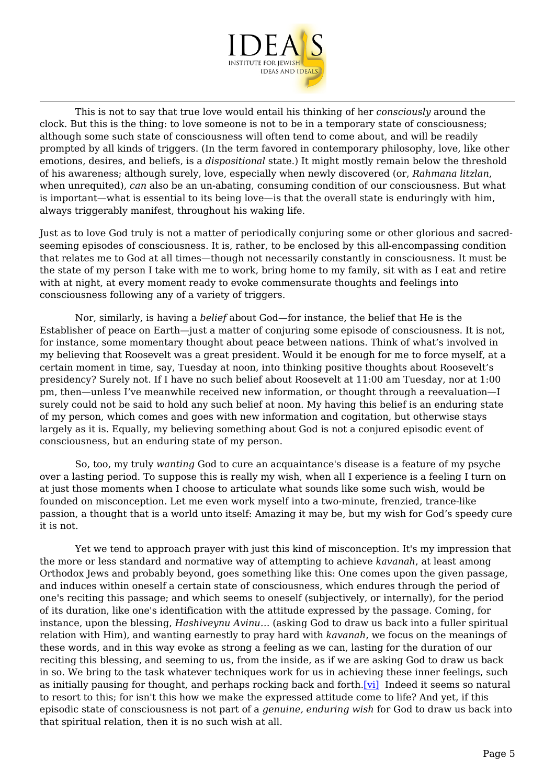

 This is not to say that true love would entail his thinking of her *consciously* around the clock. But this is the thing: to love someone is not to be in a temporary state of consciousness; although some such state of consciousness will often tend to come about, and will be readily prompted by all kinds of triggers. (In the term favored in contemporary philosophy, love, like other emotions, desires, and beliefs, is a *dispositional* state.) It might mostly remain below the threshold of his awareness; although surely, love, especially when newly discovered (or, *Rahmana litzlan*, when unrequited), *can* also be an un-abating, consuming condition of our consciousness. But what is important—what is essential to its being love—is that the overall state is enduringly with him, always triggerably manifest, throughout his waking life.

Just as to love God truly is not a matter of periodically conjuring some or other glorious and sacredseeming episodes of consciousness. It is, rather, to be enclosed by this all-encompassing condition that relates me to God at all times—though not necessarily constantly in consciousness. It must be the state of my person I take with me to work, bring home to my family, sit with as I eat and retire with at night, at every moment ready to evoke commensurate thoughts and feelings into consciousness following any of a variety of triggers.

 Nor, similarly, is having a *belief* about God—for instance, the belief that He is the Establisher of peace on Earth—just a matter of conjuring some episode of consciousness. It is not, for instance, some momentary thought about peace between nations. Think of what's involved in my believing that Roosevelt was a great president. Would it be enough for me to force myself, at a certain moment in time, say, Tuesday at noon, into thinking positive thoughts about Roosevelt's presidency? Surely not. If I have no such belief about Roosevelt at 11:00 am Tuesday, nor at 1:00 pm, then—unless I've meanwhile received new information, or thought through a reevaluation—I surely could not be said to hold any such belief at noon. My having this belief is an enduring state of my person, which comes and goes with new information and cogitation, but otherwise stays largely as it is. Equally, my believing something about God is not a conjured episodic event of consciousness, but an enduring state of my person.

 So, too, my truly *wanting* God to cure an acquaintance's disease is a feature of my psyche over a lasting period. To suppose this is really my wish, when all I experience is a feeling I turn on at just those moments when I choose to articulate what sounds like some such wish, would be founded on misconception. Let me even work myself into a two-minute, frenzied, trance-like passion, a thought that is a world unto itself: Amazing it may be, but my wish for God's speedy cure it is not.

<span id="page-4-0"></span> Yet we tend to approach prayer with just this kind of misconception. It's my impression that the more or less standard and normative way of attempting to achieve *kavanah*, at least among Orthodox Jews and probably beyond, goes something like this: One comes upon the given passage, and induces within oneself a certain state of consciousness, which endures through the period of one's reciting this passage; and which seems to oneself (subjectively, or internally), for the period of its duration, like one's identification with the attitude expressed by the passage. Coming, for instance, upon the blessing, *Hashiveynu Avinu…* (asking God to draw us back into a fuller spiritual relation with Him), and wanting earnestly to pray hard with *kavanah*, we focus on the meanings of these words, and in this way evoke as strong a feeling as we can, lasting for the duration of our reciting this blessing, and seeming to us, from the inside, as if we are asking God to draw us back in so. We bring to the task whatever techniques work for us in achieving these inner feelings, such as initially pausing for thought, and perhaps rocking back and forth[.\[vi\]](#page-8-5) Indeed it seems so natural to resort to this; for isn't this how we make the expressed attitude come to life? And yet, if this episodic state of consciousness is not part of a *genuine, enduring wish* for God to draw us back into that spiritual relation, then it is no such wish at all.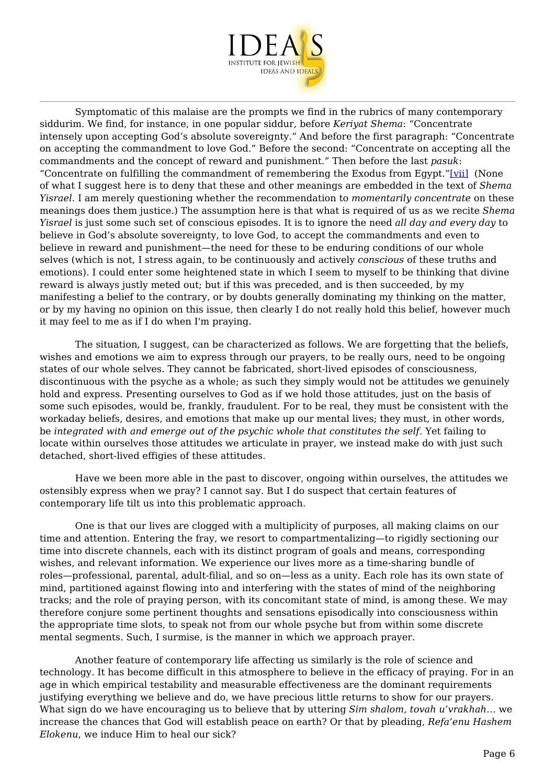

<span id="page-5-0"></span> Symptomatic of this malaise are the prompts we find in the rubrics of many contemporary siddurim. We find, for instance, in one popular siddur, before *Keriyat Shema*: "Concentrate intensely upon accepting God's absolute sovereignty." And before the first paragraph: "Concentrate on accepting the commandment to love God." Before the second: "Concentrate on accepting all the commandments and the concept of reward and punishment." Then before the last *pasuk*: "Concentrate on fulfilling the commandment of remembering the Exodus from Egypt."[\[vii\]](#page-9-0) (None of what I suggest here is to deny that these and other meanings are embedded in the text of *Shema Yisrael*. I am merely questioning whether the recommendation to *momentarily concentrate* on these meanings does them justice.) The assumption here is that what is required of us as we recite *Shema Yisrael* is just some such set of conscious episodes. It is to ignore the need *all day and every day* to believe in God's absolute sovereignty, to love God, to accept the commandments and even to believe in reward and punishment—the need for these to be enduring conditions of our whole selves (which is not, I stress again, to be continuously and actively *conscious* of these truths and emotions). I could enter some heightened state in which I seem to myself to be thinking that divine reward is always justly meted out; but if this was preceded, and is then succeeded, by my manifesting a belief to the contrary, or by doubts generally dominating my thinking on the matter, or by my having no opinion on this issue, then clearly I do not really hold this belief, however much it may feel to me as if I do when I'm praying.

The situation, I suggest, can be characterized as follows. We are forgetting that the beliefs, wishes and emotions we aim to express through our prayers, to be really ours, need to be ongoing states of our whole selves. They cannot be fabricated, short-lived episodes of consciousness, discontinuous with the psyche as a whole; as such they simply would not be attitudes we genuinely hold and express. Presenting ourselves to God as if we hold those attitudes, just on the basis of some such episodes, would be, frankly, fraudulent. For to be real, they must be consistent with the workaday beliefs, desires, and emotions that make up our mental lives; they must, in other words, be *integrated with and emerge out of the psychic whole that constitutes the self*. Yet failing to locate within ourselves those attitudes we articulate in prayer, we instead make do with just such detached, short-lived effigies of these attitudes.

 Have we been more able in the past to discover, ongoing within ourselves, the attitudes we ostensibly express when we pray? I cannot say. But I do suspect that certain features of contemporary life tilt us into this problematic approach.

 One is that our lives are clogged with a multiplicity of purposes, all making claims on our time and attention. Entering the fray, we resort to compartmentalizing—to rigidly sectioning our time into discrete channels, each with its distinct program of goals and means, corresponding wishes, and relevant information. We experience our lives more as a time-sharing bundle of roles—professional, parental, adult-filial, and so on—less as a unity. Each role has its own state of mind, partitioned against flowing into and interfering with the states of mind of the neighboring tracks; and the role of praying person, with its concomitant state of mind, is among these. We may therefore conjure some pertinent thoughts and sensations episodically into consciousness within the appropriate time slots, to speak not from our whole psyche but from within some discrete mental segments. Such, I surmise, is the manner in which we approach prayer.

 Another feature of contemporary life affecting us similarly is the role of science and technology. It has become difficult in this atmosphere to believe in the efficacy of praying. For in an age in which empirical testability and measurable effectiveness are the dominant requirements justifying everything we believe and do, we have precious little returns to show for our prayers. What sign do we have encouraging us to believe that by uttering *Sim shalom, tovah u'vrakhah…* we increase the chances that God will establish peace on earth? Or that by pleading, *Refa'enu Hashem Elokenu*, we induce Him to heal our sick?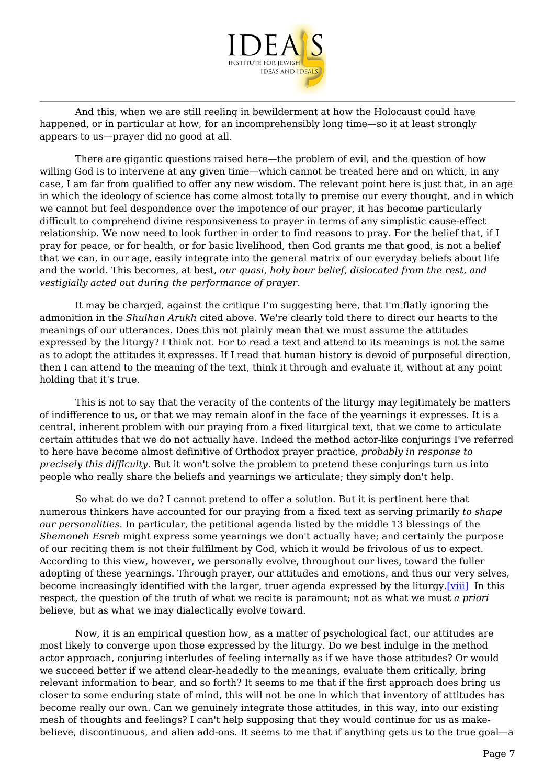

 And this, when we are still reeling in bewilderment at how the Holocaust could have happened, or in particular at how, for an incomprehensibly long time—so it at least strongly appears to us—prayer did no good at all.

 There are gigantic questions raised here—the problem of evil, and the question of how willing God is to intervene at any given time—which cannot be treated here and on which, in any case, I am far from qualified to offer any new wisdom. The relevant point here is just that, in an age in which the ideology of science has come almost totally to premise our every thought, and in which we cannot but feel despondence over the impotence of our prayer, it has become particularly difficult to comprehend divine responsiveness to prayer in terms of any simplistic cause-effect relationship. We now need to look further in order to find reasons to pray. For the belief that, if I pray for peace, or for health, or for basic livelihood, then God grants me that good, is not a belief that we can, in our age, easily integrate into the general matrix of our everyday beliefs about life and the world. This becomes, at best, *our quasi, holy hour belief, dislocated from the rest, and vestigially acted out during the performance of prayer.*

 It may be charged, against the critique I'm suggesting here, that I'm flatly ignoring the admonition in the *Shulhan Arukh* cited above. We're clearly told there to direct our hearts to the meanings of our utterances. Does this not plainly mean that we must assume the attitudes expressed by the liturgy? I think not. For to read a text and attend to its meanings is not the same as to adopt the attitudes it expresses. If I read that human history is devoid of purposeful direction, then I can attend to the meaning of the text, think it through and evaluate it, without at any point holding that it's true.

 This is not to say that the veracity of the contents of the liturgy may legitimately be matters of indifference to us, or that we may remain aloof in the face of the yearnings it expresses. It is a central, inherent problem with our praying from a fixed liturgical text, that we come to articulate certain attitudes that we do not actually have. Indeed the method actor-like conjurings I've referred to here have become almost definitive of Orthodox prayer practice, *probably in response to precisely this difficulty.* But it won't solve the problem to pretend these conjurings turn us into people who really share the beliefs and yearnings we articulate; they simply don't help.

 So what do we do? I cannot pretend to offer a solution. But it is pertinent here that numerous thinkers have accounted for our praying from a fixed text as serving primarily *to shape our personalities*. In particular, the petitional agenda listed by the middle 13 blessings of the *Shemoneh Esreh* might express some yearnings we don't actually have; and certainly the purpose of our reciting them is not their fulfilment by God, which it would be frivolous of us to expect. According to this view, however, we personally evolve, throughout our lives, toward the fuller adopting of these yearnings. Through prayer, our attitudes and emotions, and thus our very selves, become increasingly identified with the larger, truer agenda expressed by the liturgy.[\[viii\]](#page-9-1) In this respect, the question of the truth of what we recite is paramount; not as what we must *a priori* believe, but as what we may dialectically evolve toward.

<span id="page-6-0"></span> Now, it is an empirical question how, as a matter of psychological fact, our attitudes are most likely to converge upon those expressed by the liturgy. Do we best indulge in the method actor approach, conjuring interludes of feeling internally as if we have those attitudes? Or would we succeed better if we attend clear-headedly to the meanings, evaluate them critically, bring relevant information to bear, and so forth? It seems to me that if the first approach does bring us closer to some enduring state of mind, this will not be one in which that inventory of attitudes has become really our own. Can we genuinely integrate those attitudes, in this way, into our existing mesh of thoughts and feelings? I can't help supposing that they would continue for us as makebelieve, discontinuous, and alien add-ons. It seems to me that if anything gets us to the true goal—a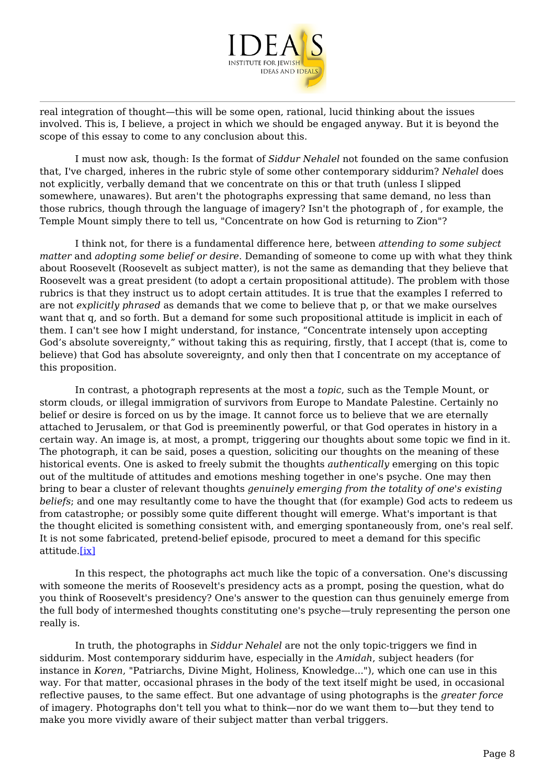

real integration of thought—this will be some open, rational, lucid thinking about the issues involved. This is, I believe, a project in which we should be engaged anyway. But it is beyond the scope of this essay to come to any conclusion about this.

 I must now ask, though: Is the format of *Siddur Nehalel* not founded on the same confusion that, I've charged, inheres in the rubric style of some other contemporary siddurim? *Nehalel* does not explicitly, verbally demand that we concentrate on this or that truth (unless I slipped somewhere, unawares). But aren't the photographs expressing that same demand, no less than those rubrics, though through the language of imagery? Isn't the photograph of , for example, the Temple Mount simply there to tell us, "Concentrate on how God is returning to Zion"?

 I think not, for there is a fundamental difference here, between *attending to some subject matter* and *adopting some belief or desire*. Demanding of someone to come up with what they think about Roosevelt (Roosevelt as subject matter), is not the same as demanding that they believe that Roosevelt was a great president (to adopt a certain propositional attitude). The problem with those rubrics is that they instruct us to adopt certain attitudes. It is true that the examples I referred to are not *explicitly phrased* as demands that we come to believe that p, or that we make ourselves want that q, and so forth. But a demand for some such propositional attitude is implicit in each of them. I can't see how I might understand, for instance, "Concentrate intensely upon accepting God's absolute sovereignty," without taking this as requiring, firstly, that I accept (that is, come to believe) that God has absolute sovereignty, and only then that I concentrate on my acceptance of this proposition.

 In contrast, a photograph represents at the most a *topic*, such as the Temple Mount, or storm clouds, or illegal immigration of survivors from Europe to Mandate Palestine. Certainly no belief or desire is forced on us by the image. It cannot force us to believe that we are eternally attached to Jerusalem, or that God is preeminently powerful, or that God operates in history in a certain way. An image is, at most, a prompt, triggering our thoughts about some topic we find in it. The photograph, it can be said, poses a question, soliciting our thoughts on the meaning of these historical events. One is asked to freely submit the thoughts *authentically* emerging on this topic out of the multitude of attitudes and emotions meshing together in one's psyche. One may then bring to bear a cluster of relevant thoughts *genuinely emerging from the totality of one's existing beliefs*; and one may resultantly come to have the thought that (for example) God acts to redeem us from catastrophe; or possibly some quite different thought will emerge. What's important is that the thought elicited is something consistent with, and emerging spontaneously from, one's real self. It is not some fabricated, pretend-belief episode, procured to meet a demand for this specific attitude.[\[ix\]](#page-9-2)

<span id="page-7-0"></span> In this respect, the photographs act much like the topic of a conversation. One's discussing with someone the merits of Roosevelt's presidency acts as a prompt, posing the question, what do you think of Roosevelt's presidency? One's answer to the question can thus genuinely emerge from the full body of intermeshed thoughts constituting one's psyche—truly representing the person one really is.

 In truth, the photographs in *Siddur Nehalel* are not the only topic-triggers we find in siddurim. Most contemporary siddurim have, especially in the *Amidah*, subject headers (for instance in *Koren*, "Patriarchs, Divine Might, Holiness, Knowledge..."), which one can use in this way. For that matter, occasional phrases in the body of the text itself might be used, in occasional reflective pauses, to the same effect. But one advantage of using photographs is the *greater force* of imagery. Photographs don't tell you what to think—nor do we want them to—but they tend to make you more vividly aware of their subject matter than verbal triggers.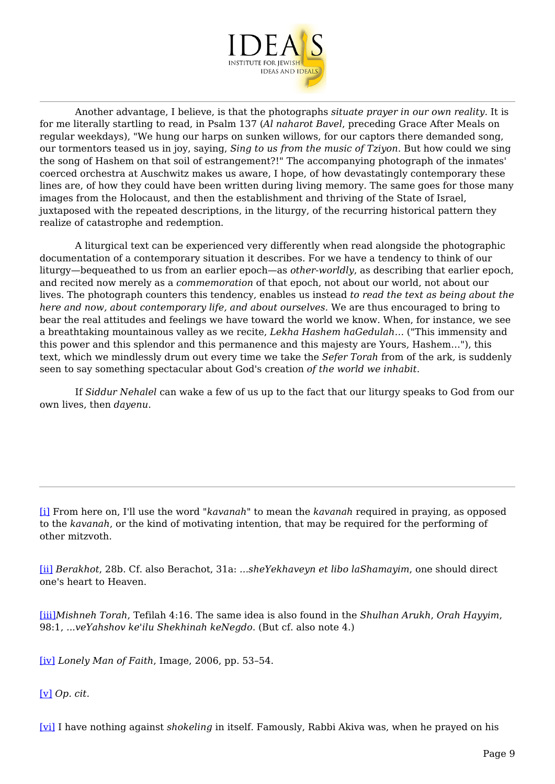

 Another advantage, I believe, is that the photographs *situate prayer in our own reality*. It is for me literally startling to read, in Psalm 137 (*Al naharot Bavel*, preceding Grace After Meals on regular weekdays), "We hung our harps on sunken willows, for our captors there demanded song, our tormentors teased us in joy, saying, *Sing to us from the music of Tziyon*. But how could we sing the song of Hashem on that soil of estrangement?!" The accompanying photograph of the inmates' coerced orchestra at Auschwitz makes us aware, I hope, of how devastatingly contemporary these lines are, of how they could have been written during living memory. The same goes for those many images from the Holocaust, and then the establishment and thriving of the State of Israel, juxtaposed with the repeated descriptions, in the liturgy, of the recurring historical pattern they realize of catastrophe and redemption.

 A liturgical text can be experienced very differently when read alongside the photographic documentation of a contemporary situation it describes. For we have a tendency to think of our liturgy—bequeathed to us from an earlier epoch—as *other-worldly*, as describing that earlier epoch, and recited now merely as a *commemoration* of that epoch, not about our world, not about our lives. The photograph counters this tendency, enables us instead *to read the text as being about the here and now, about contemporary life, and about ourselves.* We are thus encouraged to bring to bear the real attitudes and feelings we have toward the world we know. When, for instance, we see a breathtaking mountainous valley as we recite, *Lekha Hashem haGedulah…* ("This immensity and this power and this splendor and this permanence and this majesty are Yours, Hashem…"), this text, which we mindlessly drum out every time we take the *Sefer Torah* from of the ark*,* is suddenly seen to say something spectacular about God's creation *of the world we inhabit*.

 If *Siddur Nehalel* can wake a few of us up to the fact that our liturgy speaks to God from our own lives, then *dayenu*.

<span id="page-8-0"></span>[\[i\]](#page-0-0) From here on, I'll use the word "*kavanah*" to mean the *kavanah* required in praying, as opposed to the *kavanah*, or the kind of motivating intention, that may be required for the performing of other mitzvoth.

<span id="page-8-1"></span>[\[ii\]](#page-1-0) *Berakhot*, 28b. Cf. also Berachot, 31a: *...sheYekhaveyn et libo laShamayim*, one should direct one's heart to Heaven.

<span id="page-8-2"></span>[\[iii\]](#page-1-1)*Mishneh Torah*, Tefilah 4:16. The same idea is also found in the *Shulhan Arukh*, *Orah Hayyim*, 98:1, *...veYahshov ke'ilu Shekhinah keNegdo*. (But cf. also note 4.)

<span id="page-8-3"></span>[\[iv\]](#page-1-2) *Lonely Man of Faith*, Image, 2006, pp. 53–54.

<span id="page-8-4"></span>[\[v\]](#page-2-0) *Op. cit.*

<span id="page-8-5"></span>[\[vi\]](#page-4-0) I have nothing against *shokeling* in itself. Famously, Rabbi Akiva was, when he prayed on his